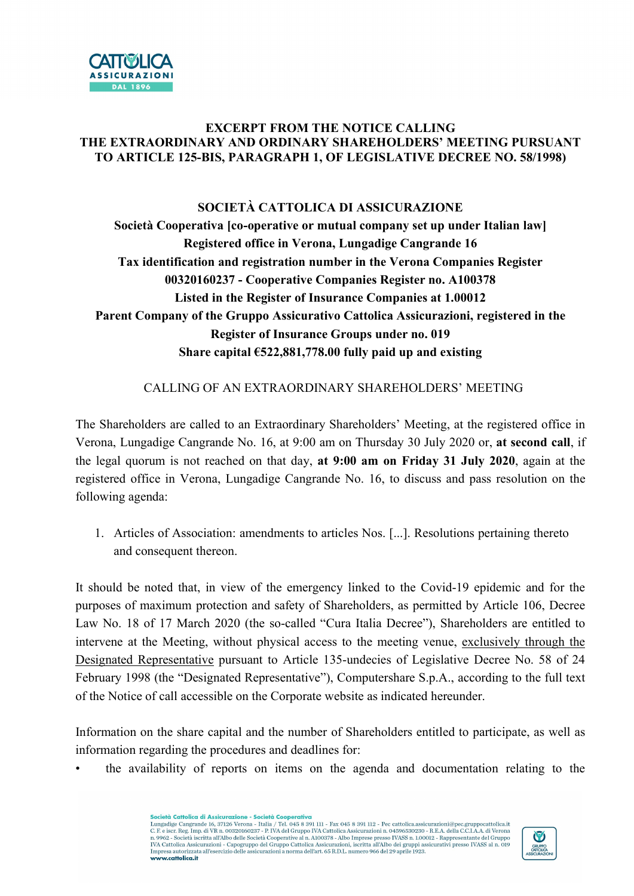

## EXCERPT FROM THE NOTICE CALLING THE EXTRAORDINARY AND ORDINARY SHAREHOLDERS' MEETING PURSUANT TO ARTICLE 125-BIS, PARAGRAPH 1, OF LEGISLATIVE DECREE NO. 58/1998)

## SOCIETÀ CATTOLICA DI ASSICURAZIONE Società Cooperativa [co-operative or mutual company set up under Italian law] Registered office in Verona, Lungadige Cangrande 16 Tax identification and registration number in the Verona Companies Register 00320160237 - Cooperative Companies Register no. A100378 Listed in the Register of Insurance Companies at 1.00012 Parent Company of the Gruppo Assicurativo Cattolica Assicurazioni, registered in the Register of Insurance Groups under no. 019 Share capital  $6522,881,778.00$  fully paid up and existing

## CALLING OF AN EXTRAORDINARY SHAREHOLDERS' MEETING

The Shareholders are called to an Extraordinary Shareholders' Meeting, at the registered office in Verona, Lungadige Cangrande No. 16, at 9:00 am on Thursday 30 July 2020 or, at second call, if the legal quorum is not reached on that day, at 9:00 am on Friday 31 July 2020, again at the registered office in Verona, Lungadige Cangrande No. 16, to discuss and pass resolution on the following agenda:

1. Articles of Association: amendments to articles Nos. [...]. Resolutions pertaining thereto and consequent thereon.

It should be noted that, in view of the emergency linked to the Covid-19 epidemic and for the purposes of maximum protection and safety of Shareholders, as permitted by Article 106, Decree Law No. 18 of 17 March 2020 (the so-called "Cura Italia Decree"), Shareholders are entitled to intervene at the Meeting, without physical access to the meeting venue, exclusively through the Designated Representative pursuant to Article 135-undecies of Legislative Decree No. 58 of 24 February 1998 (the "Designated Representative"), Computershare S.p.A., according to the full text of the Notice of call accessible on the Corporate website as indicated hereunder.

Information on the share capital and the number of Shareholders entitled to participate, as well as information regarding the procedures and deadlines for:

• the availability of reports on items on the agenda and documentation relating to the